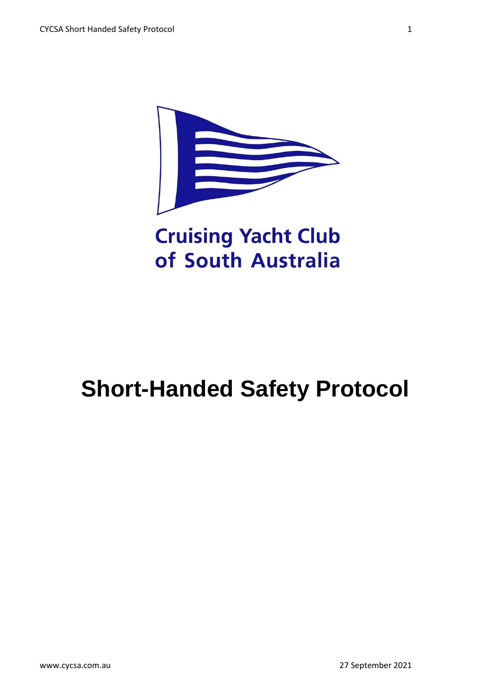

## **Cruising Yacht Club** of South Australia

# **Short-Handed Safety Protocol**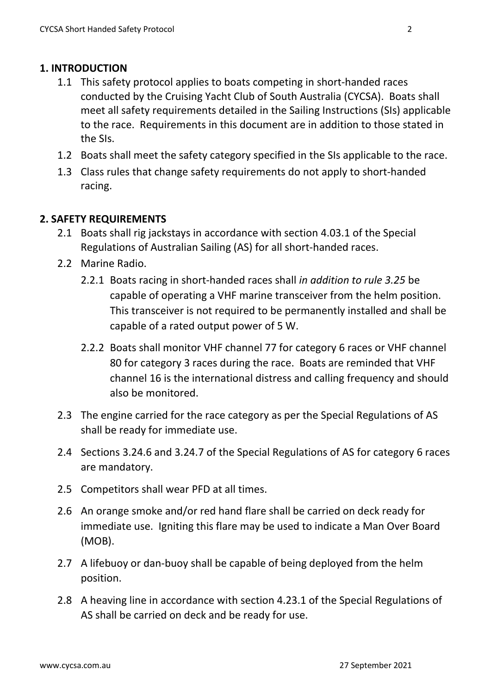### **1. INTRODUCTION**

- 1.1 This safety protocol applies to boats competing in short-handed races conducted by the Cruising Yacht Club of South Australia (CYCSA). Boats shall meet all safety requirements detailed in the Sailing Instructions (SIs) applicable to the race. Requirements in this document are in addition to those stated in the SIs.
- 1.2 Boats shall meet the safety category specified in the SIs applicable to the race.
- 1.3 Class rules that change safety requirements do not apply to short-handed racing.

#### **2. SAFETY REQUIREMENTS**

- 2.1 Boats shall rig jackstays in accordance with section 4.03.1 of the Special Regulations of Australian Sailing (AS) for all short-handed races.
- 2.2 Marine Radio.
	- 2.2.1 Boats racing in short-handed races shall *in addition to rule 3.25* be capable of operating a VHF marine transceiver from the helm position. This transceiver is not required to be permanently installed and shall be capable of a rated output power of 5 W.
	- 2.2.2 Boats shall monitor VHF channel 77 for category 6 races or VHF channel 80 for category 3 races during the race. Boats are reminded that VHF channel 16 is the international distress and calling frequency and should also be monitored.
- 2.3 The engine carried for the race category as per the Special Regulations of AS shall be ready for immediate use.
- 2.4 Sections 3.24.6 and 3.24.7 of the Special Regulations of AS for category 6 races are mandatory.
- 2.5 Competitors shall wear PFD at all times.
- 2.6 An orange smoke and/or red hand flare shall be carried on deck ready for immediate use. Igniting this flare may be used to indicate a Man Over Board (MOB).
- 2.7 A lifebuoy or dan-buoy shall be capable of being deployed from the helm position.
- 2.8 A heaving line in accordance with section 4.23.1 of the Special Regulations of AS shall be carried on deck and be ready for use.